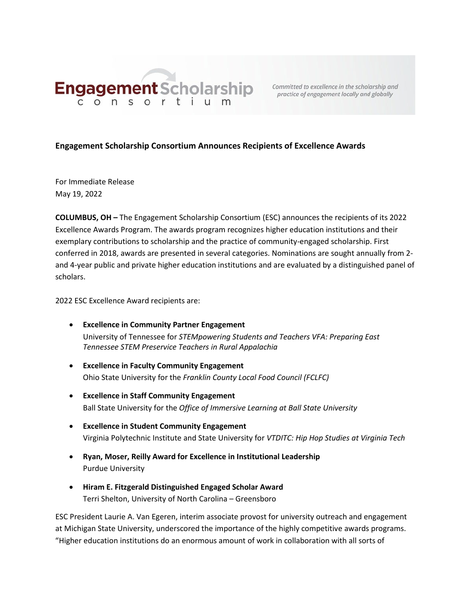

practice of engagement locally and globally

## **Engagement Scholarship Consortium Announces Recipients of Excellence Awards**

For Immediate Release May 19, 2022

**COLUMBUS, OH –** The Engagement Scholarship Consortium (ESC) announces the recipients of its 2022 Excellence Awards Program. The awards program recognizes higher education institutions and their exemplary contributions to scholarship and the practice of community-engaged scholarship. First conferred in 2018, awards are presented in several categories. Nominations are sought annually from 2 and 4-year public and private higher education institutions and are evaluated by a distinguished panel of scholars.

2022 ESC Excellence Award recipients are:

- **Excellence in Community Partner Engagement**  University of Tennessee for *STEMpowering Students and Teachers VFA: Preparing East Tennessee STEM Preservice Teachers in Rural Appalachia*
- **Excellence in Faculty Community Engagement**  Ohio State University for the *Franklin County Local Food Council (FCLFC)*
- **Excellence in Staff Community Engagement**  Ball State University for the *Office of Immersive Learning at Ball State University*
- **Excellence in Student Community Engagement** Virginia Polytechnic Institute and State University for *VTDITC: Hip Hop Studies at Virginia Tech*
- **Ryan, Moser, Reilly Award for Excellence in Institutional Leadership** Purdue University
- **Hiram E. Fitzgerald Distinguished Engaged Scholar Award** Terri Shelton, University of North Carolina – Greensboro

ESC President Laurie A. Van Egeren, interim associate provost for university outreach and engagement at Michigan State University, underscored the importance of the highly competitive awards programs. "Higher education institutions do an enormous amount of work in collaboration with all sorts of